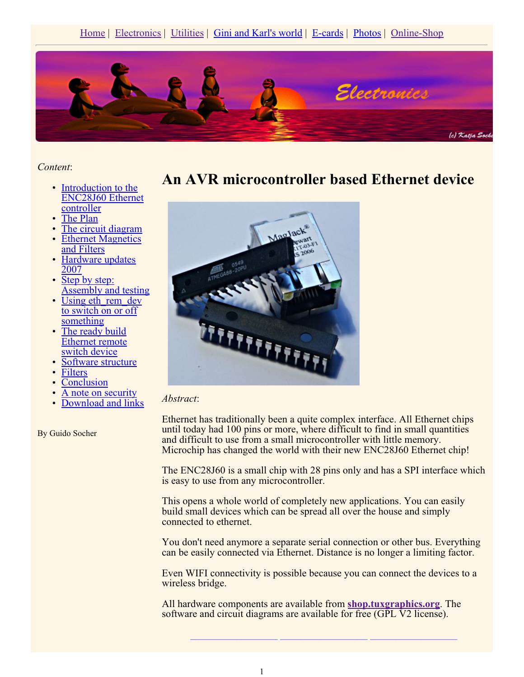

*Content*:

- Introduction to the ENC28J60 Ethernet controller
- The Plan
- The circuit diagram
- Ethernet Magnetics and Filters
- Hardware updates 2007
- Step by step: Assembly and testing
- Using eth rem\_dev to switch on or off something
- The ready build Ethernet remote switch device
- Software structure
- Filters
- **Conclusion**
- A note on security
- Download and links

By Guido Socher

### **An AVR microcontroller based Ethernet device**



#### *Abstract*:

Ethernet has traditionally been a quite complex interface. All Ethernet chips until today had 100 pins or more, where difficult to find in small quantities and difficult to use from a small microcontroller with little memory. Microchip has changed the world with their new ENC28J60 Ethernet chip!

The ENC28J60 is a small chip with 28 pins only and has a SPI interface which is easy to use from any microcontroller.

This opens a whole world of completely new applications. You can easily build small devices which can be spread all over the house and simply connected to ethernet.

You don't need anymore a separate serial connection or other bus. Everything can be easily connected via Ethernet. Distance is no longer a limiting factor.

Even WIFI connectivity is possible because you can connect the devices to a wireless bridge.

**\_\_\_\_\_\_\_\_\_\_\_\_\_\_\_\_\_ \_\_\_\_\_\_\_\_\_\_\_\_\_\_\_\_\_ \_\_\_\_\_\_\_\_\_\_\_\_\_\_\_\_\_**

All hardware components are available from **shop.tuxgraphics.org**. The software and circuit diagrams are available for free (GPL V2 license).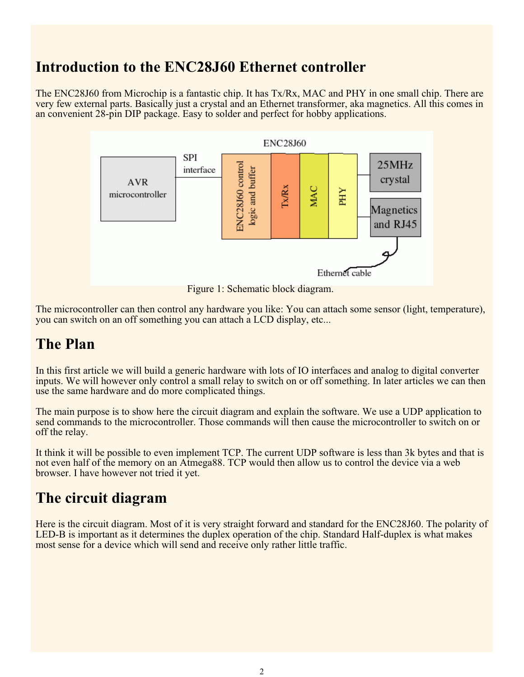## **Introduction to the ENC28J60 Ethernet controller**

The ENC28J60 from Microchip is a fantastic chip. It has Tx/Rx, MAC and PHY in one small chip. There are very few external parts. Basically just a crystal and an Ethernet transformer, aka magnetics. All this comes in an convenient 28-pin DIP package. Easy to solder and perfect for hobby applications.



Figure 1: Schematic block diagram.

The microcontroller can then control any hardware you like: You can attach some sensor (light, temperature), you can switch on an off something you can attach a LCD display, etc...

## **The Plan**

In this first article we will build a generic hardware with lots of IO interfaces and analog to digital converter inputs. We will however only control a small relay to switch on or off something. In later articles we can then use the same hardware and do more complicated things.

The main purpose is to show here the circuit diagram and explain the software. We use a UDP application to send commands to the microcontroller. Those commands will then cause the microcontroller to switch on or off the relay.

It think it will be possible to even implement TCP. The current UDP software is less than 3k bytes and that is not even half of the memory on an Atmega88. TCP would then allow us to control the device via a web browser. I have however not tried it yet.

## **The circuit diagram**

Here is the circuit diagram. Most of it is very straight forward and standard for the ENC28J60. The polarity of LED-B is important as it determines the duplex operation of the chip. Standard Half-duplex is what makes most sense for a device which will send and receive only rather little traffic.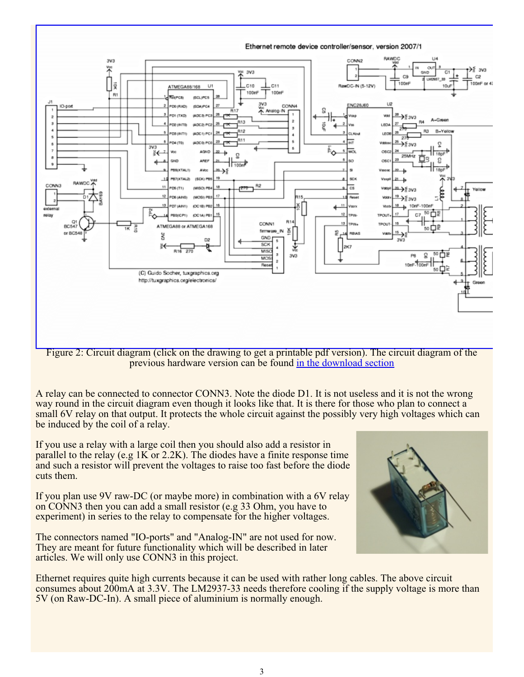

Figure 2: Circuit diagram (click on the drawing to get a printable pdf version). The circuit diagram of the previous hardware version can be found in the download section

A relay can be connected to connector CONN3. Note the diode D1. It is not useless and it is not the wrong way round in the circuit diagram even though it looks like that. It is there for those who plan to connect a small 6V relay on that output. It protects the whole circuit against the possibly very high voltages which can be induced by the coil of a relay.

If you use a relay with a large coil then you should also add a resistor in parallel to the relay (e.g 1K or 2.2K). The diodes have a finite response time and such a resistor will prevent the voltages to raise too fast before the diode cuts them.

If you plan use 9V raw-DC (or maybe more) in combination with a 6V relay on CONN3 then you can add a small resistor (e.g 33 Ohm, you have to experiment) in series to the relay to compensate for the higher voltages.

The connectors named "IO-ports" and "Analog-IN" are not used for now. They are meant for future functionality which will be described in later articles. We will only use CONN3 in this project.



Ethernet requires quite high currents because it can be used with rather long cables. The above circuit consumes about 200mA at 3.3V. The LM2937-33 needs therefore cooling if the supply voltage is more than 5V (on Raw-DC-In). A small piece of aluminium is normally enough.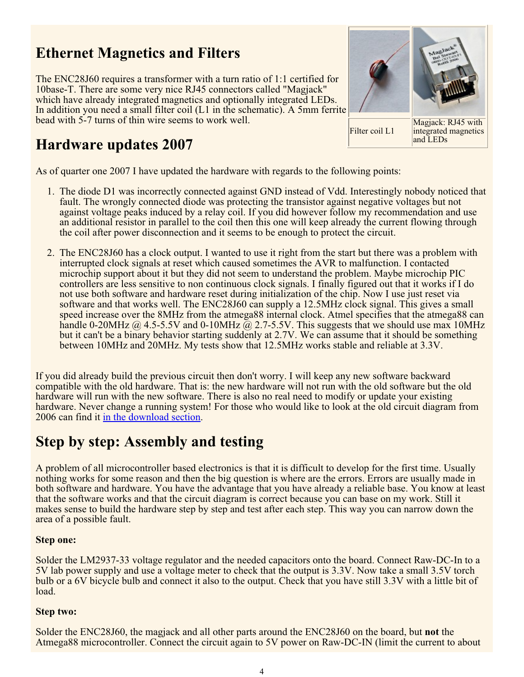# **Ethernet Magnetics and Filters**

The ENC28J60 requires a transformer with a turn ratio of 1:1 certified for 10base-T. There are some very nice RJ45 connectors called "Magjack" which have already integrated magnetics and optionally integrated LEDs. In addition you need a small filter coil (L1 in the schematic). A 5mm ferrite bead with 5-7 turns of thin wire seems to work well.

# **Hardware updates 2007**

As of quarter one 2007 I have updated the hardware with regards to the following points:

- 1. The diode D1 was incorrectly connected against GND instead of Vdd. Interestingly nobody noticed that fault. The wrongly connected diode was protecting the transistor against negative voltages but not against voltage peaks induced by a relay coil. If you did however follow my recommendation and use an additional resistor in parallel to the coil then this one will keep already the current flowing through the coil after power disconnection and it seems to be enough to protect the circuit.
- 2. The ENC28J60 has a clock output. I wanted to use it right from the start but there was a problem with interrupted clock signals at reset which caused sometimes the AVR to malfunction. I contacted microchip support about it but they did not seem to understand the problem. Maybe microchip PIC controllers are less sensitive to non continuous clock signals. I finally figured out that it works if I do not use both software and hardware reset during initialization of the chip. Now I use just reset via software and that works well. The ENC28J60 can supply a 12.5MHz clock signal. This gives a small speed increase over the 8MHz from the atmega88 internal clock. Atmel specifies that the atmega88 can handle 0-20MHz  $@$  4.5-5.5V and 0-10MHz  $@$  2.7-5.5V. This suggests that we should use max 10MHz but it can't be a binary behavior starting suddenly at 2.7V. We can assume that it should be something between 10MHz and 20MHz. My tests show that 12.5MHz works stable and reliable at 3.3V.

If you did already build the previous circuit then don't worry. I will keep any new software backward compatible with the old hardware. That is: the new hardware will not run with the old software but the old hardware will run with the new software. There is also no real need to modify or update your existing hardware. Never change a running system! For those who would like to look at the old circuit diagram from 2006 can find it in the download section.

## **Step by step: Assembly and testing**

A problem of all microcontroller based electronics is that it is difficult to develop for the first time. Usually nothing works for some reason and then the big question is where are the errors. Errors are usually made in both software and hardware. You have the advantage that you have already a reliable base. You know at least that the software works and that the circuit diagram is correct because you can base on my work. Still it makes sense to build the hardware step by step and test after each step. This way you can narrow down the area of a possible fault.

#### **Step one:**

Solder the LM2937-33 voltage regulator and the needed capacitors onto the board. Connect Raw-DC-In to a 5V lab power supply and use a voltage meter to check that the output is 3.3V. Now take a small 3.5V torch bulb or a 6V bicycle bulb and connect it also to the output. Check that you have still 3.3V with a little bit of load.

#### **Step two:**

Solder the ENC28J60, the magjack and all other parts around the ENC28J60 on the board, but **not** the Atmega88 microcontroller. Connect the circuit again to 5V power on Raw-DC-IN (limit the current to about



and LEDs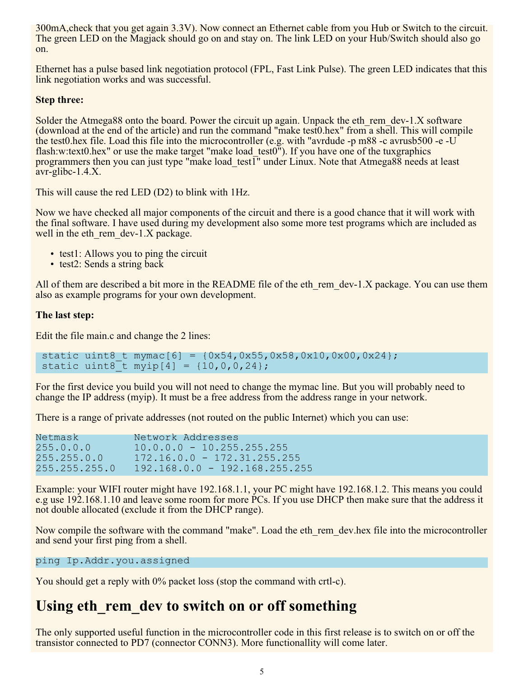300mA,check that you get again 3.3V). Now connect an Ethernet cable from you Hub or Switch to the circuit. The green LED on the Magjack should go on and stay on. The link LED on your Hub/Switch should also go on.

Ethernet has a pulse based link negotiation protocol (FPL, Fast Link Pulse). The green LED indicates that this link negotiation works and was successful.

#### **Step three:**

Solder the Atmega88 onto the board. Power the circuit up again. Unpack the eth rem\_dev-1.X software (download at the end of the article) and run the command "make test0.hex" from a shell. This will compile the test0.hex file. Load this file into the microcontroller (e.g. with "avrdude -p m88 -c avrusb500 -e -U flash:w:text0.hex" or use the make target "make load test0"). If you have one of the tuxgraphics programmers then you can just type "make load test $\overline{1}$ " under Linux. Note that Atmega88 needs at least avr-glibc-1.4.X.

This will cause the red LED (D2) to blink with 1Hz.

Now we have checked all major components of the circuit and there is a good chance that it will work with the final software. I have used during my development also some more test programs which are included as well in the eth rem\_dev-1.X package.

- test1: Allows you to ping the circuit
- test2: Sends a string back

All of them are described a bit more in the README file of the eth rem  $dev-1.X$  package. You can use them also as example programs for your own development.

#### **The last step:**

Edit the file main.c and change the 2 lines:

```
static uint8 t mymac[6] = {0x54,0x55,0x58,0x10,0x00,0x24};static uint8<sup>-</sup>t myip[4] = \{10, 0, 0, 24\};
```
For the first device you build you will not need to change the mymac line. But you will probably need to change the IP address (myip). It must be a free address from the address range in your network.

There is a range of private addresses (not routed on the public Internet) which you can use:

| Netmask       | Network Addresses               |
|---------------|---------------------------------|
| 255.0.0.0     | $10.0.0.0 - 10.255.255.255$     |
| 255.255.0.0   | $172.16.0.0 - 172.31.255.255$   |
| 255.255.255.0 | $192.168.0.0 - 192.168.255.255$ |

Example: your WIFI router might have 192.168.1.1, your PC might have 192.168.1.2. This means you could e.g use 192.168.1.10 and leave some room for more PCs. If you use DHCP then make sure that the address it not double allocated (exclude it from the DHCP range).

Now compile the software with the command "make". Load the eth\_rem\_dev.hex file into the microcontroller and send your first ping from a shell.

ping Ip.Addr.you.assigned

You should get a reply with  $0\%$  packet loss (stop the command with crtl-c).

### Using eth rem dev to switch on or off something

The only supported useful function in the microcontroller code in this first release is to switch on or off the transistor connected to PD7 (connector CONN3). More functionallity will come later.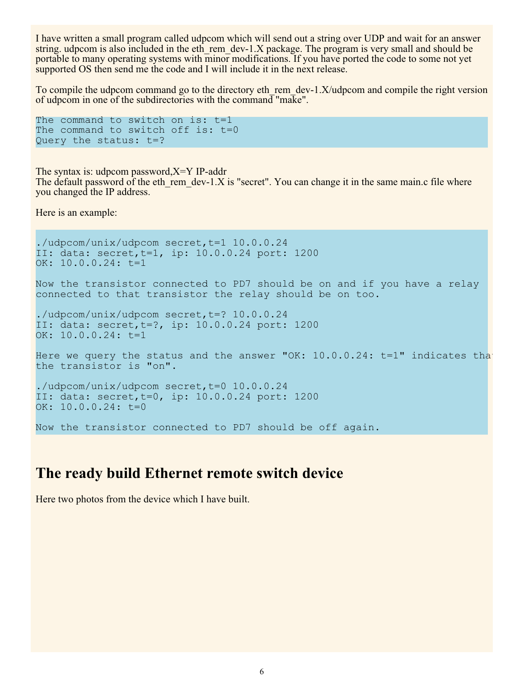I have written a small program called udpcom which will send out a string over UDP and wait for an answer string. udpcom is also included in the eth\_rem\_dev-1.X package. The program is very small and should be portable to many operating systems with minor modifications. If you have ported the code to some not yet supported OS then send me the code and I will include it in the next release.

To compile the udpcom command go to the directory eth rem\_dev-1.X/udpcom and compile the right version of udpcom in one of the subdirectories with the command "make".

```
The command to switch on is: t=1
The command to switch off is: t=0
Query the status: t=?
```
The syntax is: udpcom password,X=Y IP-addr The default password of the eth rem\_dev-1.X is "secret". You can change it in the same main.c file where you changed the IP address.

Here is an example:

```
./udpcom/unix/udpcom secret,t=1 10.0.0.24
II: data: secret,t=1, ip: 10.0.0.24 port: 1200
OK: 10.0.0.24: t=1
Now the transistor connected to PD7 should be on and if you have a relay
connected to that transistor the relay should be on too.
./udpcom/unix/udpcom secret, t=? 10.0.0.24
II: data: secret,t=?, ip: 10.0.0.24 port: 1200
OK: 10.0.0.24: t=1
Here we query the status and the answer "OK: 10.0.0.24: t=1" indicates that
the transistor is "on".
./udpcom/unix/udpcom secret,t=0 10.0.0.24
II: data: secret,t=0, ip: 10.0.0.24 port: 1200
OK: 10.0.0.24: t=0Now the transistor connected to PD7 should be off again.
```
### **The ready build Ethernet remote switch device**

Here two photos from the device which I have built.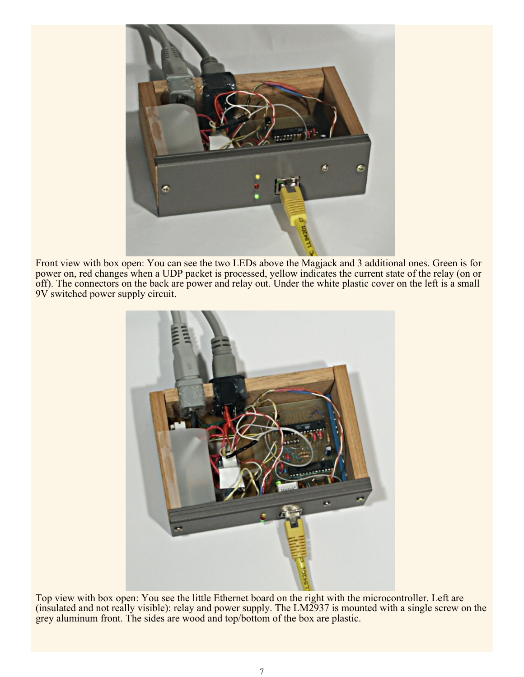

Front view with box open: You can see the two LEDs above the Magjack and 3 additional ones. Green is for power on, red changes when a UDP packet is processed, yellow indicates the current state of the relay (on or off). The connectors on the back are power and relay out. Under the white plastic cover on the left is a small 9V switched power supply circuit.



Top view with box open: You see the little Ethernet board on the right with the microcontroller. Left are (insulated and not really visible): relay and power supply. The LM2937 is mounted with a single screw on the grey aluminum front. The sides are wood and top/bottom of the box are plastic.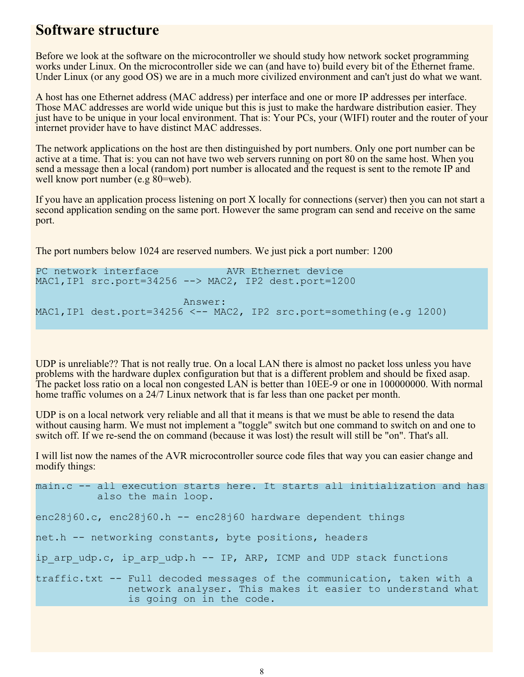### **Software structure**

Before we look at the software on the microcontroller we should study how network socket programming works under Linux. On the microcontroller side we can (and have to) build every bit of the Ethernet frame. Under Linux (or any good OS) we are in a much more civilized environment and can't just do what we want.

A host has one Ethernet address (MAC address) per interface and one or more IP addresses per interface. Those MAC addresses are world wide unique but this is just to make the hardware distribution easier. They just have to be unique in your local environment. That is: Your PCs, your (WIFI) router and the router of your internet provider have to have distinct MAC addresses.

The network applications on the host are then distinguished by port numbers. Only one port number can be active at a time. That is: you can not have two web servers running on port 80 on the same host. When you send a message then a local (random) port number is allocated and the request is sent to the remote IP and well know port number (e.g 80=web).

If you have an application process listening on port X locally for connections (server) then you can not start a second application sending on the same port. However the same program can send and receive on the same port.

The port numbers below 1024 are reserved numbers. We just pick a port number: 1200

PC network interface The AVR Ethernet device MAC1,IP1 src.port=34256 --> MAC2, IP2 dest.port=1200 Answer: MAC1,IP1 dest.port=34256 <-- MAC2, IP2 src.port=something(e.g 1200)

UDP is unreliable?? That is not really true. On a local LAN there is almost no packet loss unless you have problems with the hardware duplex configuration but that is a different problem and should be fixed asap. The packet loss ratio on a local non congested LAN is better than 10EE-9 or one in 100000000. With normal home traffic volumes on a 24/7 Linux network that is far less than one packet per month.

UDP is on a local network very reliable and all that it means is that we must be able to resend the data without causing harm. We must not implement a "toggle" switch but one command to switch on and one to switch off. If we re-send the on command (because it was lost) the result will still be "on". That's all.

I will list now the names of the AVR microcontroller source code files that way you can easier change and modify things:

main.c -- all execution starts here. It starts all initialization and has also the main loop.

enc28j60.c, enc28j60.h -- enc28j60 hardware dependent things

net.h -- networking constants, byte positions, headers

ip arp udp.c, ip arp udp.h -- IP, ARP, ICMP and UDP stack functions

traffic.txt -- Full decoded messages of the communication, taken with a network analyser. This makes it easier to understand what is going on in the code.